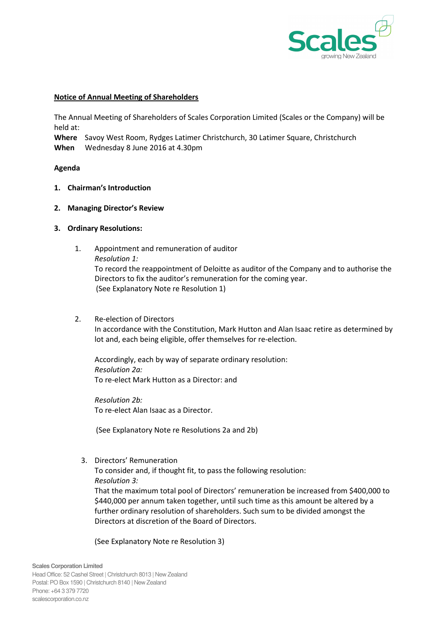

## Notice of Annual Meeting of Shareholders

The Annual Meeting of Shareholders of Scales Corporation Limited (Scales or the Company) will be held at:

Where Savoy West Room, Rydges Latimer Christchurch, 30 Latimer Square, Christchurch When Wednesday 8 June 2016 at 4.30pm

## Agenda

- 1. Chairman's Introduction
- 2. Managing Director's Review
- 3. Ordinary Resolutions:
	- 1. Appointment and remuneration of auditor Resolution 1: To record the reappointment of Deloitte as auditor of the Company and to authorise the Directors to fix the auditor's remuneration for the coming year. (See Explanatory Note re Resolution 1)
	- 2. Re-election of Directors

In accordance with the Constitution, Mark Hutton and Alan Isaac retire as determined by lot and, each being eligible, offer themselves for re-election.

Accordingly, each by way of separate ordinary resolution: Resolution 2a: To re-elect Mark Hutton as a Director: and

Resolution 2b: To re-elect Alan Isaac as a Director.

(See Explanatory Note re Resolutions 2a and 2b)

3. Directors' Remuneration

To consider and, if thought fit, to pass the following resolution: Resolution 3:

That the maximum total pool of Directors' remuneration be increased from \$400,000 to \$440,000 per annum taken together, until such time as this amount be altered by a further ordinary resolution of shareholders. Such sum to be divided amongst the Directors at discretion of the Board of Directors.

(See Explanatory Note re Resolution 3)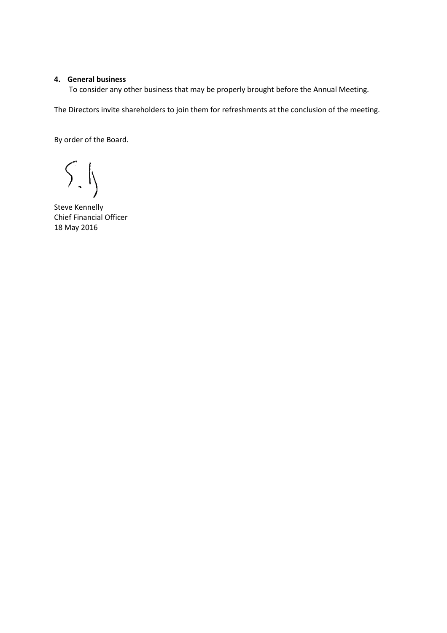## 4. General business

To consider any other business that may be properly brought before the Annual Meeting.

The Directors invite shareholders to join them for refreshments at the conclusion of the meeting.

By order of the Board.

 $\left. \right. \int_{0}^{\infty}$ 

Steve Kennelly Chief Financial Officer 18 May 2016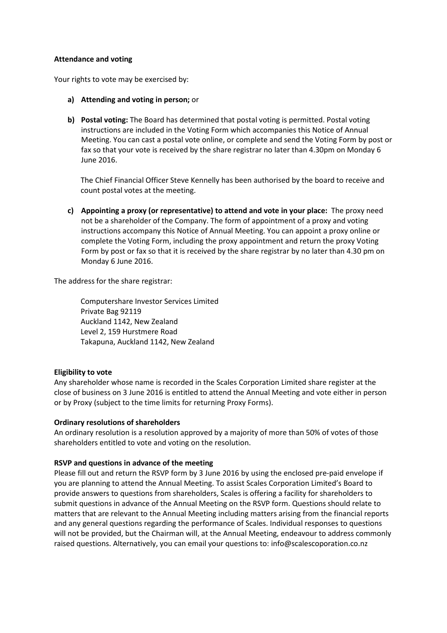#### Attendance and voting

Your rights to vote may be exercised by:

- a) Attending and voting in person; or
- b) Postal voting: The Board has determined that postal voting is permitted. Postal voting instructions are included in the Voting Form which accompanies this Notice of Annual Meeting. You can cast a postal vote online, or complete and send the Voting Form by post or fax so that your vote is received by the share registrar no later than 4.30pm on Monday 6 June 2016.

The Chief Financial Officer Steve Kennelly has been authorised by the board to receive and count postal votes at the meeting.

c) Appointing a proxy (or representative) to attend and vote in your place: The proxy need not be a shareholder of the Company. The form of appointment of a proxy and voting instructions accompany this Notice of Annual Meeting. You can appoint a proxy online or complete the Voting Form, including the proxy appointment and return the proxy Voting Form by post or fax so that it is received by the share registrar by no later than 4.30 pm on Monday 6 June 2016.

The address for the share registrar:

Computershare Investor Services Limited Private Bag 92119 Auckland 1142, New Zealand Level 2, 159 Hurstmere Road Takapuna, Auckland 1142, New Zealand

## Eligibility to vote

Any shareholder whose name is recorded in the Scales Corporation Limited share register at the close of business on 3 June 2016 is entitled to attend the Annual Meeting and vote either in person or by Proxy (subject to the time limits for returning Proxy Forms).

## Ordinary resolutions of shareholders

An ordinary resolution is a resolution approved by a majority of more than 50% of votes of those shareholders entitled to vote and voting on the resolution.

## RSVP and questions in advance of the meeting

Please fill out and return the RSVP form by 3 June 2016 by using the enclosed pre-paid envelope if you are planning to attend the Annual Meeting. To assist Scales Corporation Limited's Board to provide answers to questions from shareholders, Scales is offering a facility for shareholders to submit questions in advance of the Annual Meeting on the RSVP form. Questions should relate to matters that are relevant to the Annual Meeting including matters arising from the financial reports and any general questions regarding the performance of Scales. Individual responses to questions will not be provided, but the Chairman will, at the Annual Meeting, endeavour to address commonly raised questions. Alternatively, you can email your questions to: info@scalescoporation.co.nz